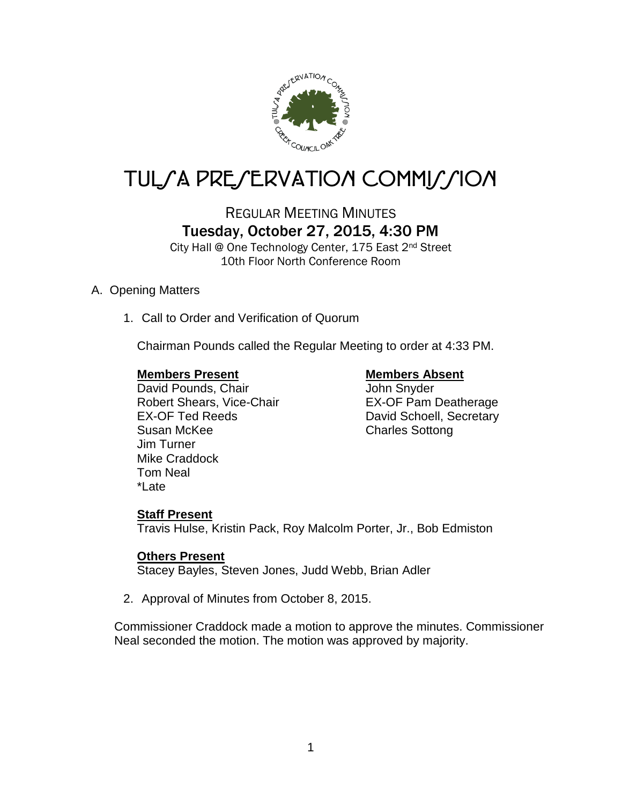

# TUL/A PRE/ERVATION COMMI*J*/ION

# REGULAR MEETING MINUTES Tuesday, October 27, 2015, 4:30 PM

City Hall @ One Technology Center, 175 East 2nd Street 10th Floor North Conference Room

### A. Opening Matters

1. Call to Order and Verification of Quorum

Chairman Pounds called the Regular Meeting to order at 4:33 PM.

#### **Members Present Members Absent**

David Pounds, Chair **John Snyder** Robert Shears, Vice-Chair **EX-OF Pam Deatherage** EX-OF Ted Reeds<br>
Susan McKee<br>
Charles Sottong Jim Turner Mike Craddock Tom Neal \*Late

Charles Sottong

### **Staff Present**

Travis Hulse, Kristin Pack, Roy Malcolm Porter, Jr., Bob Edmiston

#### **Others Present**

Stacey Bayles, Steven Jones, Judd Webb, Brian Adler

2. Approval of Minutes from October 8, 2015.

Commissioner Craddock made a motion to approve the minutes. Commissioner Neal seconded the motion. The motion was approved by majority.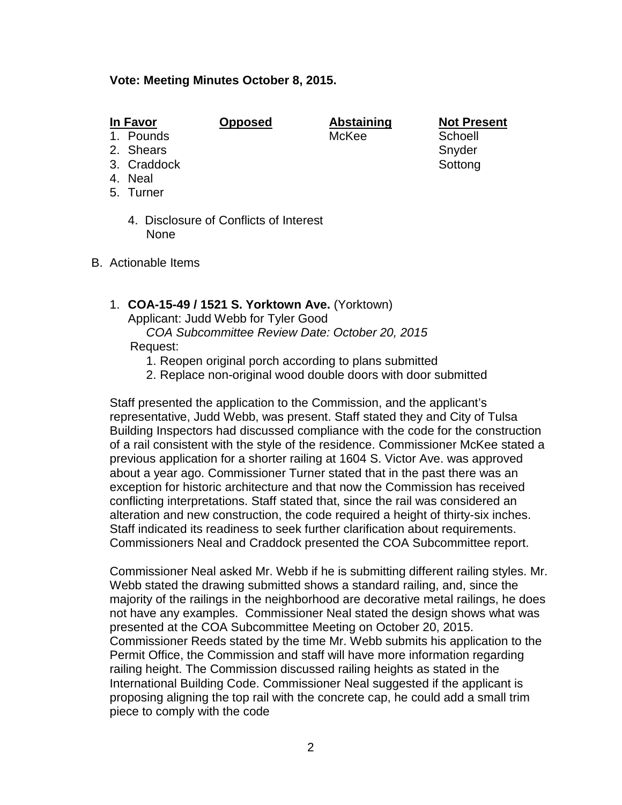#### **Vote: Meeting Minutes October 8, 2015.**

**In Favor Opposed Abstaining Not Present**

- 1. Pounds
- 2. Shears Snyder Snyder
- 3. Craddock Sottong Sottong Sottong Sottong Sottong Sottong Sottong Sottong Sottong Sottong Sottong Sottong So
- 4. Neal
- 5. Turner
	- 4. Disclosure of Conflicts of Interest None
- B. Actionable Items

#### 1. **COA-15-49 / 1521 S. Yorktown Ave.** (Yorktown)

Applicant: Judd Webb for Tyler Good

 *COA Subcommittee Review Date: October 20, 2015* Request:

- 1. Reopen original porch according to plans submitted
- 2. Replace non-original wood double doors with door submitted

Staff presented the application to the Commission, and the applicant's representative, Judd Webb, was present. Staff stated they and City of Tulsa Building Inspectors had discussed compliance with the code for the construction of a rail consistent with the style of the residence. Commissioner McKee stated a previous application for a shorter railing at 1604 S. Victor Ave. was approved about a year ago. Commissioner Turner stated that in the past there was an exception for historic architecture and that now the Commission has received conflicting interpretations. Staff stated that, since the rail was considered an alteration and new construction, the code required a height of thirty-six inches. Staff indicated its readiness to seek further clarification about requirements. Commissioners Neal and Craddock presented the COA Subcommittee report.

Commissioner Neal asked Mr. Webb if he is submitting different railing styles. Mr. Webb stated the drawing submitted shows a standard railing, and, since the majority of the railings in the neighborhood are decorative metal railings, he does not have any examples. Commissioner Neal stated the design shows what was presented at the COA Subcommittee Meeting on October 20, 2015. Commissioner Reeds stated by the time Mr. Webb submits his application to the Permit Office, the Commission and staff will have more information regarding railing height. The Commission discussed railing heights as stated in the International Building Code. Commissioner Neal suggested if the applicant is proposing aligning the top rail with the concrete cap, he could add a small trim piece to comply with the code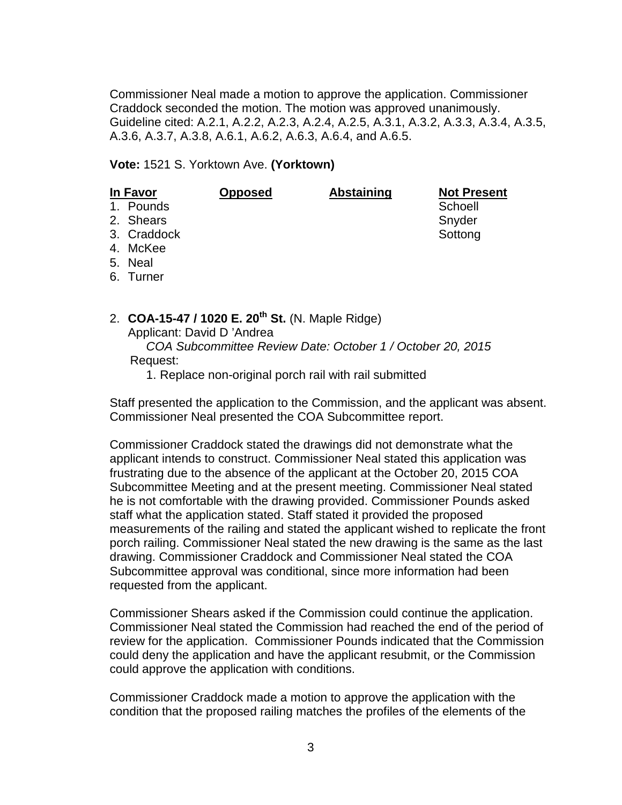Commissioner Neal made a motion to approve the application. Commissioner Craddock seconded the motion. The motion was approved unanimously. Guideline cited: A.2.1, A.2.2, A.2.3, A.2.4, A.2.5, A.3.1, A.3.2, A.3.3, A.3.4, A.3.5, A.3.6, A.3.7, A.3.8, A.6.1, A.6.2, A.6.3, A.6.4, and A.6.5.

#### **Vote:** 1521 S. Yorktown Ave. **(Yorktown)**

| In Favor    | <b>Opposed</b> | <b>Abstaining</b> | <b>Not Present</b> |
|-------------|----------------|-------------------|--------------------|
| 1. Pounds   |                |                   | Schoell            |
| 2. Shears   |                |                   | Snyder             |
| 3. Craddock |                |                   | Sottong            |
| 4. McKee    |                |                   |                    |
| 5. Neal     |                |                   |                    |
| 6. Turner   |                |                   |                    |

2. **COA-15-47 / 1020 E. 20th St.** (N. Maple Ridge)

Applicant: David D 'Andrea

 *COA Subcommittee Review Date: October 1 / October 20, 2015* Request:

1. Replace non-original porch rail with rail submitted

Staff presented the application to the Commission, and the applicant was absent. Commissioner Neal presented the COA Subcommittee report.

Commissioner Craddock stated the drawings did not demonstrate what the applicant intends to construct. Commissioner Neal stated this application was frustrating due to the absence of the applicant at the October 20, 2015 COA Subcommittee Meeting and at the present meeting. Commissioner Neal stated he is not comfortable with the drawing provided. Commissioner Pounds asked staff what the application stated. Staff stated it provided the proposed measurements of the railing and stated the applicant wished to replicate the front porch railing. Commissioner Neal stated the new drawing is the same as the last drawing. Commissioner Craddock and Commissioner Neal stated the COA Subcommittee approval was conditional, since more information had been requested from the applicant.

Commissioner Shears asked if the Commission could continue the application. Commissioner Neal stated the Commission had reached the end of the period of review for the application. Commissioner Pounds indicated that the Commission could deny the application and have the applicant resubmit, or the Commission could approve the application with conditions.

Commissioner Craddock made a motion to approve the application with the condition that the proposed railing matches the profiles of the elements of the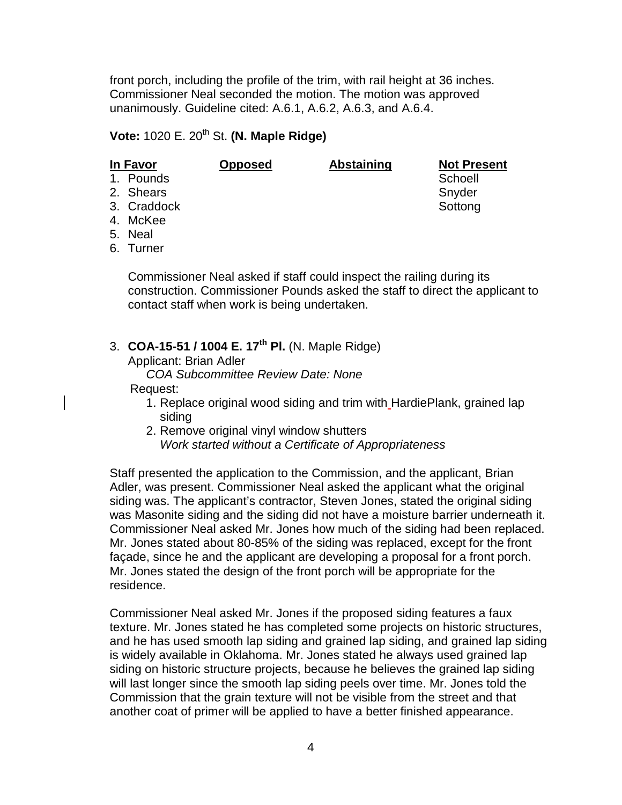front porch, including the profile of the trim, with rail height at 36 inches. Commissioner Neal seconded the motion. The motion was approved unanimously. Guideline cited: A.6.1, A.6.2, A.6.3, and A.6.4.

## **Vote:** 1020 E. 20<sup>th</sup> St. **(N. Maple Ridge)**

| In Favor |             | <b>Opposed</b> | Abstaining | <b>Not Present</b> |
|----------|-------------|----------------|------------|--------------------|
|          | 1. Pounds   |                |            | Schoell            |
|          | 2. Shears   |                |            | Snyder             |
|          | 3. Craddock |                |            | Sottong            |
|          | 4. McKee    |                |            |                    |
|          | 5. Neal     |                |            |                    |

- 
- 6. Turner

Commissioner Neal asked if staff could inspect the railing during its construction. Commissioner Pounds asked the staff to direct the applicant to contact staff when work is being undertaken.

### 3. **COA-15-51 / 1004 E. 17th Pl.** (N. Maple Ridge)

Applicant: Brian Adler

*COA Subcommittee Review Date: None*

#### Request:

- 1. Replace original wood siding and trim with HardiePlank, grained lap siding
- 2. Remove original vinyl window shutters *Work started without a Certificate of Appropriateness*

Staff presented the application to the Commission, and the applicant, Brian Adler, was present. Commissioner Neal asked the applicant what the original siding was. The applicant's contractor, Steven Jones, stated the original siding was Masonite siding and the siding did not have a moisture barrier underneath it. Commissioner Neal asked Mr. Jones how much of the siding had been replaced. Mr. Jones stated about 80-85% of the siding was replaced, except for the front façade, since he and the applicant are developing a proposal for a front porch. Mr. Jones stated the design of the front porch will be appropriate for the residence.

Commissioner Neal asked Mr. Jones if the proposed siding features a faux texture. Mr. Jones stated he has completed some projects on historic structures, and he has used smooth lap siding and grained lap siding, and grained lap siding is widely available in Oklahoma. Mr. Jones stated he always used grained lap siding on historic structure projects, because he believes the grained lap siding will last longer since the smooth lap siding peels over time. Mr. Jones told the Commission that the grain texture will not be visible from the street and that another coat of primer will be applied to have a better finished appearance.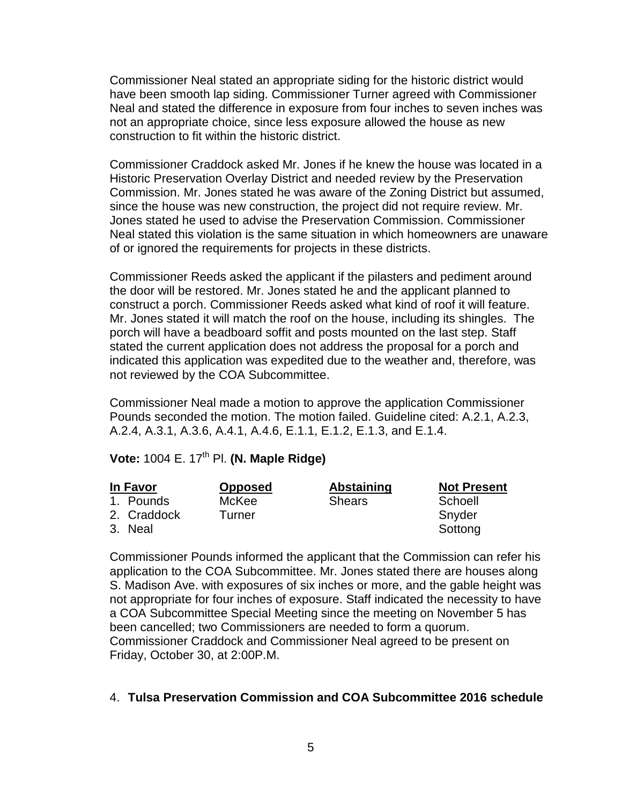Commissioner Neal stated an appropriate siding for the historic district would have been smooth lap siding. Commissioner Turner agreed with Commissioner Neal and stated the difference in exposure from four inches to seven inches was not an appropriate choice, since less exposure allowed the house as new construction to fit within the historic district.

Commissioner Craddock asked Mr. Jones if he knew the house was located in a Historic Preservation Overlay District and needed review by the Preservation Commission. Mr. Jones stated he was aware of the Zoning District but assumed, since the house was new construction, the project did not require review. Mr. Jones stated he used to advise the Preservation Commission. Commissioner Neal stated this violation is the same situation in which homeowners are unaware of or ignored the requirements for projects in these districts.

Commissioner Reeds asked the applicant if the pilasters and pediment around the door will be restored. Mr. Jones stated he and the applicant planned to construct a porch. Commissioner Reeds asked what kind of roof it will feature. Mr. Jones stated it will match the roof on the house, including its shingles. The porch will have a beadboard soffit and posts mounted on the last step. Staff stated the current application does not address the proposal for a porch and indicated this application was expedited due to the weather and, therefore, was not reviewed by the COA Subcommittee.

Commissioner Neal made a motion to approve the application Commissioner Pounds seconded the motion. The motion failed. Guideline cited: A.2.1, A.2.3, A.2.4, A.3.1, A.3.6, A.4.1, A.4.6, E.1.1, E.1.2, E.1.3, and E.1.4.

# **Vote:** 1004 E. 17th Pl. **(N. Maple Ridge)**

| In Favor    | <b>Opposed</b> | Abstaining    | <b>Not Present</b> |
|-------------|----------------|---------------|--------------------|
| 1. Pounds   | McKee          | <b>Shears</b> | Schoell            |
| 2. Craddock | Turner         |               | Snyder             |
| 3. Neal     |                |               | Sottong            |

Commissioner Pounds informed the applicant that the Commission can refer his application to the COA Subcommittee. Mr. Jones stated there are houses along S. Madison Ave. with exposures of six inches or more, and the gable height was not appropriate for four inches of exposure. Staff indicated the necessity to have a COA Subcommittee Special Meeting since the meeting on November 5 has been cancelled; two Commissioners are needed to form a quorum. Commissioner Craddock and Commissioner Neal agreed to be present on Friday, October 30, at 2:00P.M.

#### 4. **Tulsa Preservation Commission and COA Subcommittee 2016 schedule**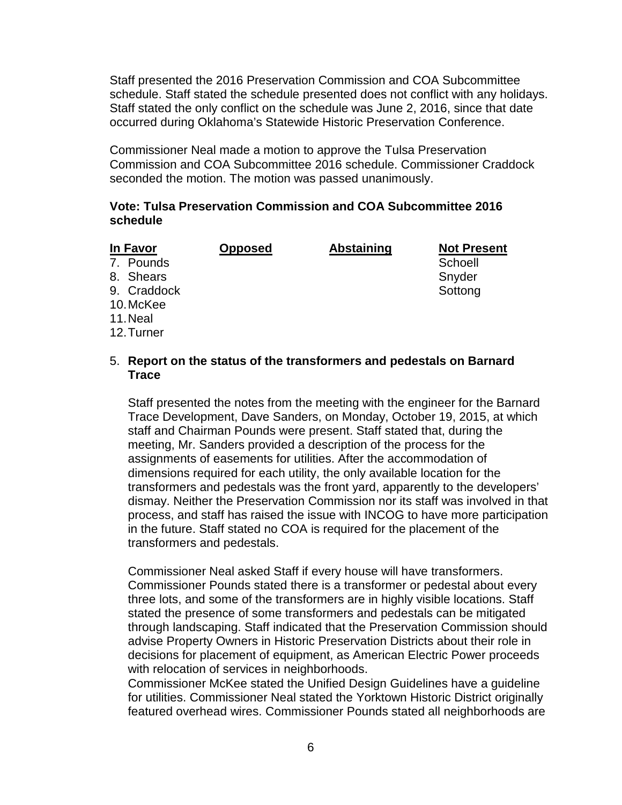Staff presented the 2016 Preservation Commission and COA Subcommittee schedule. Staff stated the schedule presented does not conflict with any holidays. Staff stated the only conflict on the schedule was June 2, 2016, since that date occurred during Oklahoma's Statewide Historic Preservation Conference.

Commissioner Neal made a motion to approve the Tulsa Preservation Commission and COA Subcommittee 2016 schedule. Commissioner Craddock seconded the motion. The motion was passed unanimously.

#### **Vote: Tulsa Preservation Commission and COA Subcommittee 2016 schedule**

| <u>In Favor</u> | <b>Opposed</b> | <b>Abstaining</b> | <b>Not Present</b> |
|-----------------|----------------|-------------------|--------------------|
| 7. Pounds       |                |                   | Schoell            |
| 8. Shears       |                |                   | Snyder             |
| 9. Craddock     |                |                   | Sottong            |
| 10. McKee       |                |                   |                    |
| 11. Neal        |                |                   |                    |
| 12. Turner      |                |                   |                    |

#### 5. **Report on the status of the transformers and pedestals on Barnard Trace**

Staff presented the notes from the meeting with the engineer for the Barnard Trace Development, Dave Sanders, on Monday, October 19, 2015, at which staff and Chairman Pounds were present. Staff stated that, during the meeting, Mr. Sanders provided a description of the process for the assignments of easements for utilities. After the accommodation of dimensions required for each utility, the only available location for the transformers and pedestals was the front yard, apparently to the developers' dismay. Neither the Preservation Commission nor its staff was involved in that process, and staff has raised the issue with INCOG to have more participation in the future. Staff stated no COA is required for the placement of the transformers and pedestals.

Commissioner Neal asked Staff if every house will have transformers. Commissioner Pounds stated there is a transformer or pedestal about every three lots, and some of the transformers are in highly visible locations. Staff stated the presence of some transformers and pedestals can be mitigated through landscaping. Staff indicated that the Preservation Commission should advise Property Owners in Historic Preservation Districts about their role in decisions for placement of equipment, as American Electric Power proceeds with relocation of services in neighborhoods.

Commissioner McKee stated the Unified Design Guidelines have a guideline for utilities. Commissioner Neal stated the Yorktown Historic District originally featured overhead wires. Commissioner Pounds stated all neighborhoods are